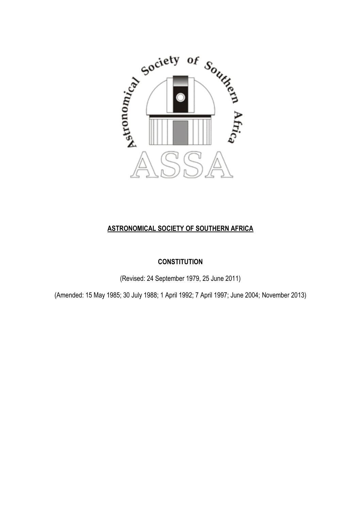

## **ASTRONOMICAL SOCIETY OF SOUTHERN AFRICA**

## **CONSTITUTION**

(Revised: 24 September 1979, 25 June 2011)

(Amended: 15 May 1985; 30 July 1988; 1 April 1992; 7 April 1997; June 2004; November 2013)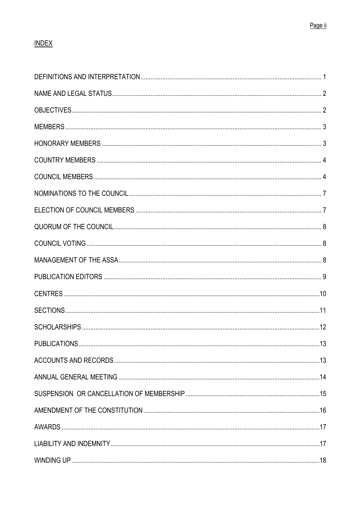## **INDEX**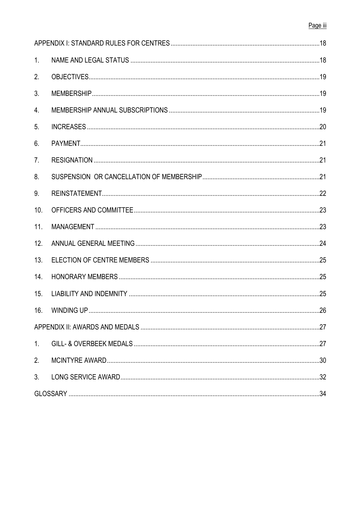## Page iii

| 1 <sub>1</sub> |     |
|----------------|-----|
| 2.             |     |
| 3.             |     |
| 4.             |     |
| 5 <sub>1</sub> |     |
| 6.             |     |
| 7 <sub>1</sub> |     |
| 8.             |     |
| 9.             |     |
| 10.            |     |
| 11.            |     |
| 12.            |     |
| 13.            |     |
| 14.            |     |
| 15.            |     |
| 16.            | .26 |
|                |     |
| 1 <sub>1</sub> |     |
| 2.             |     |
| 3 <sub>1</sub> |     |
|                |     |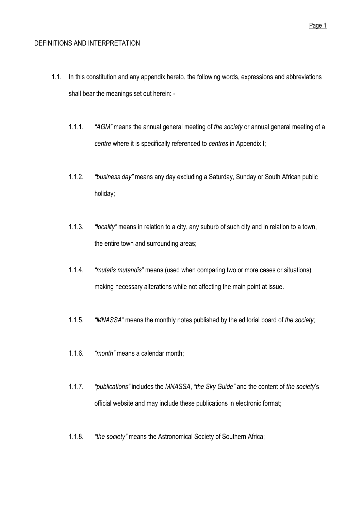### <span id="page-3-0"></span>DEFINITIONS AND INTERPRETATION

- 1.1. In this constitution and any appendix hereto, the following words, expressions and abbreviations shall bear the meanings set out herein: -
	- 1.1.1. *"AGM"* means the annual general meeting of *the society* or annual general meeting of a *centre* where it is specifically referenced to *centres* in Appendix I;
	- 1.1.2. *"business day"* means any day excluding a Saturday, Sunday or South African public holiday;
	- 1.1.3. *"locality"* means in relation to a city, any suburb of such city and in relation to a town, the entire town and surrounding areas;
	- 1.1.4. *"mutatis mutandis"* means (used when comparing two or more cases or situations) making necessary alterations while not affecting the main point at issue.
	- 1.1.5. *"MNASSA"* means the monthly notes published by the editorial board of *the society*;
	- 1.1.6. *"month"* means a calendar month;
	- 1.1.7. *"publications"* includes the *MNASSA*, *"the Sky Guide"* and the content of *the society*'s official website and may include these publications in electronic format;
	- 1.1.8. *"the society"* means the Astronomical Society of Southern Africa;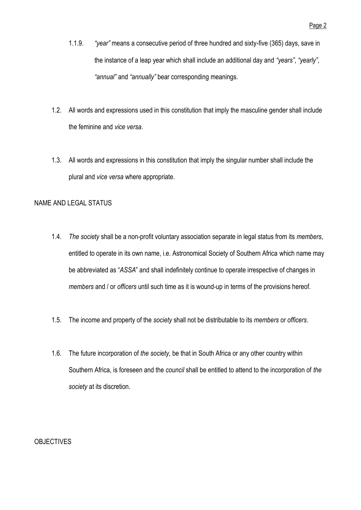- 1.1.9. *"year"* means a consecutive period of three hundred and sixty-five (365) days, save in the instance of a leap year which shall include an additional day and *"years"*, *"yearly"*, *"annual"* and *"annually"* bear corresponding meanings.
- 1.2. All words and expressions used in this constitution that imply the masculine gender shall include the feminine and *vice versa*.
- 1.3. All words and expressions in this constitution that imply the singular number shall include the plural and *vice versa* where appropriate.

## <span id="page-4-0"></span>NAME AND LEGAL STATUS

- 1.4. *The society* shall be a non-profit voluntary association separate in legal status from its *members*, entitled to operate in its own name, i.e. Astronomical Society of Southern Africa which name may be abbreviated as "*ASSA*" and shall indefinitely continue to operate irrespective of changes in *members* and / or *officers* until such time as it is wound-up in terms of the provisions hereof.
- 1.5. The income and property of the *society* shall not be distributable to its *members* or *officers*.
- 1.6. The future incorporation of *the society,* be that in South Africa or any other country within Southern Africa, is foreseen and the *council* shall be entitled to attend to the incorporation of *the society* at its discretion.

## <span id="page-4-1"></span>**OBJECTIVES**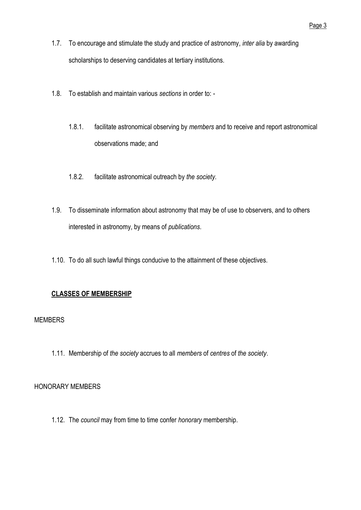- 1.7. To encourage and stimulate the study and practice of astronomy, *inter alia* by awarding scholarships to deserving candidates at tertiary institutions.
- 1.8. To establish and maintain various *sections* in order to:
	- 1.8.1. facilitate astronomical observing by *members* and to receive and report astronomical observations made; and
	- 1.8.2. facilitate astronomical outreach by *the society*.
- 1.9. To disseminate information about astronomy that may be of use to observers, and to others interested in astronomy, by means of *publications*.
- 1.10. To do all such lawful things conducive to the attainment of these objectives.

## **CLASSES OF MEMBERSHIP**

## <span id="page-5-0"></span>MEMBERS

1.11. Member*s*hip of *the society* accrues to all *members* of *centres* of *the society*.

## <span id="page-5-1"></span>HONORARY MEMBERS

1.12. The *council* may from time to time confer *honorary* membership.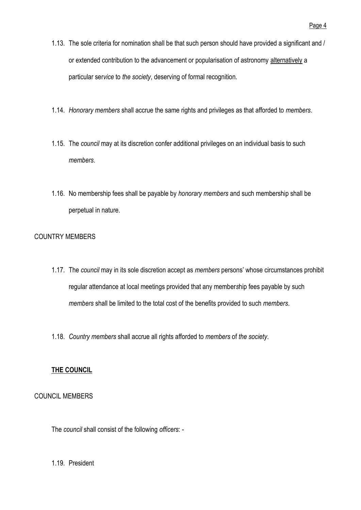- 1.13. The sole criteria for nomination shall be that such person should have provided a significant and / or extended contribution to the advancement or popularisation of astronomy alternatively a particular ser*vice* to *the society*, deserving of formal recognition.
- 1.14. *Honorary members* shall accrue the same rights and privileges as that afforded to *members*.
- 1.15. The *council* may at its discretion confer additional privileges on an individual basis to such *members*.
- 1.16. No membership fees shall be payable by *honorary members* and such membership shall be perpetual in nature.

## <span id="page-6-0"></span>COUNTRY MEMBERS

- 1.17. The *council* may in its sole discretion accept as *members* persons' whose circumstances prohibit regular attendance at local meetings provided that any member*s*hip fees payable by such *members* shall be limited to the total cost of the benefits provided to such *members*.
- 1.18. *Country members* shall accrue all rights afforded to *members* of *the society*.

## **THE COUNCIL**

## <span id="page-6-1"></span>COUNCIL MEMBERS

The *council* shall consist of the following *officers*: -

1.19. President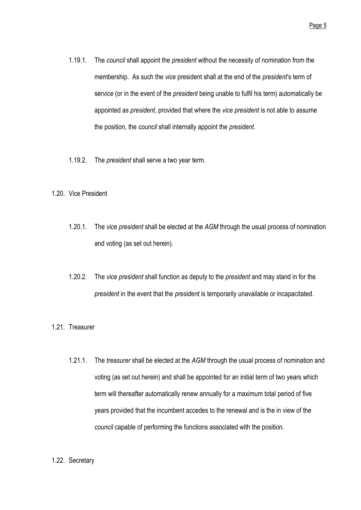- 1.19.1. The *council* shall appoint the *president* without the necessity of nomination from the membership. As such the *vice* president shall at the end of the *president*'s term of ser*vice* (or in the event of the *president* being unable to fulfil his term) automatically be appointed as *president*, provided that where the *vice president* is not able to assume the position, the *council* shall internally appoint the *president*.
- 1.19.2. The *president* shall serve a two year term.
- 1.20. Vice President
	- 1.20.1. The *vice president* shall be elected at the *AGM* through the usual process of nomination and voting (as set out herein).
	- 1.20.2. The *vice president* shall function as deputy to the *president* and may stand in for the *president* in the event that the *president* is temporarily unavailable or incapacitated.
- 1.21. Treasurer
	- 1.21.1. The *treasurer* shall be elected at the *AGM* through the usual process of nomination and voting (as set out herein) and shall be appointed for an initial term of two years which term will thereafter automatically renew annually for a maximum total period of five years provided that the incumbent accedes to the renewal and is the in view of the *council* capable of performing the functions associated with the position.
- 1.22. Secretary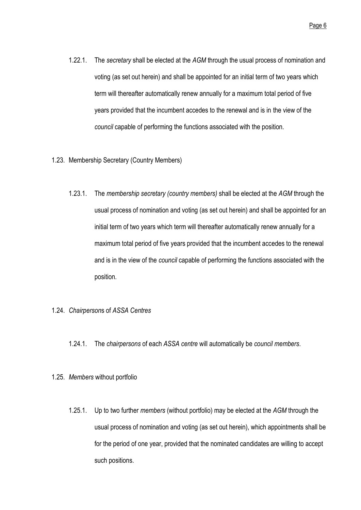Page 6

- 1.22.1. The *secretary* shall be elected at the *AGM* through the usual process of nomination and voting (as set out herein) and shall be appointed for an initial term of two years which term will thereafter automatically renew annually for a maximum total period of five years provided that the incumbent accedes to the renewal and is in the view of the *council* capable of performing the functions associated with the position.
- 1.23. Membership Secretary (Country Members)
	- 1.23.1. The *membership secretary (country members)* shall be elected at the *AGM* through the usual process of nomination and voting (as set out herein) and shall be appointed for an initial term of two years which term will thereafter automatically renew annually for a maximum total period of five years provided that the incumbent accedes to the renewal and is in the view of the *council* capable of performing the functions associated with the position.
- 1.24. *Chairperson*s of *ASSA Centres*
	- 1.24.1. The *chairpersons* of each *ASSA centre* will automatically be *council members*.
- 1.25. *Members* without portfolio
	- 1.25.1. Up to two further *members* (without portfolio) may be elected at the *AGM* through the usual process of nomination and voting (as set out herein), which appointments shall be for the period of one year, provided that the nominated candidates are willing to accept such positions.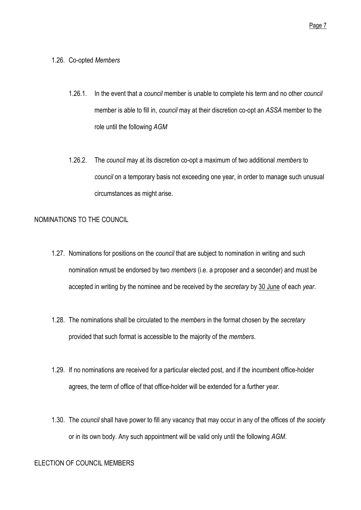#### 1.26. Co-opted *Members*

- 1.26.1. In the event that a *council* member is unable to complete his term and no other *council* member is able to fill in, *council* may at their discretion co-opt an *ASSA* member to the role until the following *AGM*
- 1.26.2. The *council* may at its discretion co-opt a maximum of two additional *members* to *council* on a temporary basis not exceeding one year, in order to manage such unusual circumstances as might arise.

#### <span id="page-9-0"></span>NOMINATIONS TO THE COUNCIL

- 1.27. Nominations for positions on the *council* that are subject to nomination in writing and such nomination nmust be endorsed by two *members* (i.e. a proposer and a seconder) and must be accepted in writing by the nominee and be received by the *secretary* by 30 June of each *year*.
- 1.28. The nominations shall be circulated to the *members* in the format chosen by the *secretary* provided that such format is accessible to the majority of the *members*.
- 1.29. If no nominations are received for a particular elected post, and if the incumbent office-holder agrees, the term of office of that office-holder will be extended for a further *year*.
- 1.30. The *council* shall have power to fill any vacancy that may occur in any of the offices of *the society* or in its own body. Any such appointment will be valid only until the following *AGM*.

#### <span id="page-9-1"></span>ELECTION OF COUNCIL MEMBERS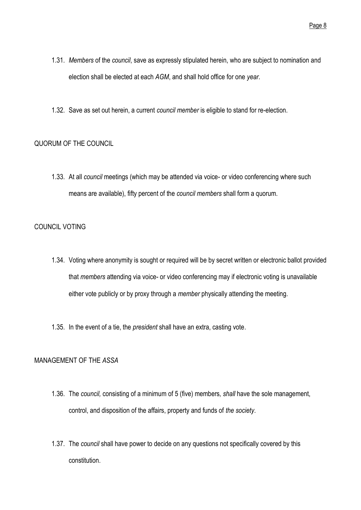- 1.31. *Members* of the *council*, save as expressly stipulated herein, who are subject to nomination and election shall be elected at each *AGM*, and shall hold office for one *year*.
- 1.32. Save as set out herein, a current *council member* is eligible to stand for re-election.

## <span id="page-10-0"></span>QUORUM OF THE COUNCIL

1.33. At all *council* meetings (which may be attended via voice- or video conferencing where such means are available), fifty percent of the *council members* shall form a quorum.

### <span id="page-10-1"></span>COUNCIL VOTING

- 1.34. Voting where anonymity is sought or required will be by secret written or electronic ballot provided that *members* attending via voice- or video conferencing may if electronic voting is unavailable either vote publicly or by proxy through a *member* physically attending the meeting.
- 1.35. In the event of a tie, the *president* shall have an extra, casting vote.

## <span id="page-10-2"></span>MANAGEMENT OF THE *ASSA*

- 1.36. The *council,* consisting of a minimum of 5 (five) members*, shall* have the sole management, control, and disposition of the affairs, property and funds of *the society*.
- 1.37. The *council* shall have power to decide on any questions not specifically covered by this constitution.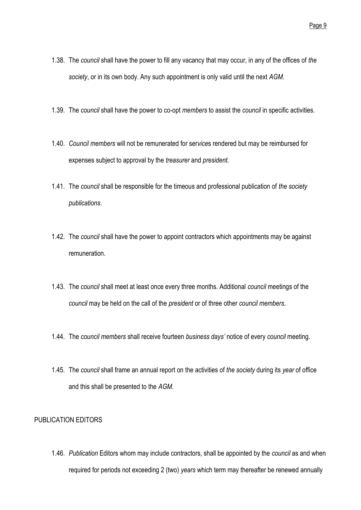- 1.38. The *council* shall have the power to fill any vacancy that may occur, in any of the offices of *the society*, or in its own body. Any such appointment is only valid until the next *AGM*.
- 1.39. The *council* shall have the power to co-opt *members* to assist the *council* in specific activities.
- 1.40. *Council members* will not be remunerated for ser*vice*s rendered but may be reimbursed for expenses subject to approval by the *treasurer* and *president*.
- 1.41. The *council* shall be responsible for the timeous and professional publication of *the society publications*.
- 1.42. The *council* shall have the power to appoint contractors which appointments may be against remuneration.
- 1.43. The *council* shall meet at least once every three months. Additional *council* meetings of the *council* may be held on the call of the *president* or of three other *council members*.
- 1.44. The *council members* shall receive fourteen *business days'* notice of every *council* meeting.
- 1.45. The *council* shall frame an annual report on the activities of *the society* during its *year* of office and this shall be presented to the *AGM*.

#### <span id="page-11-0"></span>PUBLICATION EDITORS

1.46. *Publication* Editors whom may include contractors, shall be appointed by the *council* as and when required for periods not exceeding 2 (two) *years* which term may thereafter be renewed annually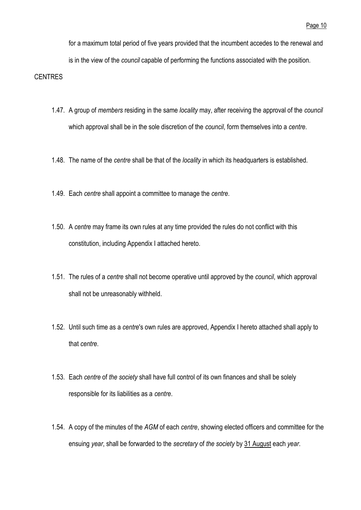for a maximum total period of five years provided that the incumbent accedes to the renewal and is in the view of the *council* capable of performing the functions associated with the position.

### <span id="page-12-0"></span>**CENTRES**

- 1.47. A group of *members* residing in the same *locality* may, after receiving the approval of the *council* which approval shall be in the sole discretion of the *council*, form themselves into a *centre*.
- 1.48. The name of the *centre* shall be that of the *locality* in which its headquarters is established.
- 1.49. Each *centre* shall appoint a committee to manage the *centre*.
- 1.50. A *centre* may frame its own rules at any time provided the rules do not conflict with this constitution, including Appendix I attached hereto.
- 1.51. The rules of a *centre* shall not become operative until approved by the *council*, which approval shall not be unreasonably withheld.
- 1.52. Until such time as a *centre*'s own rules are approved, Appendix I hereto attached shall apply to that *centre*.
- 1.53. Each *centre* of *the society* shall have full control of its own finances and shall be solely responsible for its liabilities as a *centre*.
- 1.54. A copy of the minutes of the *AGM* of each *centre*, showing elected officers and committee for the ensuing *year*, shall be forwarded to the *secretary* of *the society* by 31 August each *year*.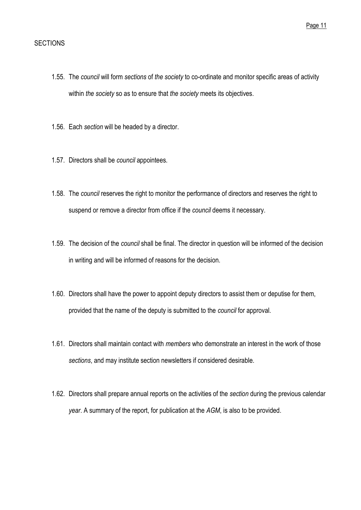### <span id="page-13-0"></span>**SECTIONS**

- 1.55. The *council* will form *sections* of *the society* to co-ordinate and monitor specific areas of activity within *the society* so as to ensure that *the society* meets its objectives.
- 1.56. Each *section* will be headed by a director.
- 1.57. Directors shall be *council* appointees.
- 1.58. The *council* reserves the right to monitor the performance of directors and reserves the right to suspend or remove a director from office if the *council* deems it necessary.
- 1.59. The decision of the *council* shall be final. The director in question will be informed of the decision in writing and will be informed of reasons for the decision.
- 1.60. Directors shall have the power to appoint deputy directors to assist them or deputise for them, provided that the name of the deputy is submitted to the *council* for approval.
- 1.61. Directors shall maintain contact with *members* who demonstrate an interest in the work of those *sections*, and may institute section newsletters if considered desirable.
- 1.62. Directors shall prepare annual reports on the activities of the *section* during the previous calendar *year*. A summary of the report, for publication at the *AGM*, is also to be provided.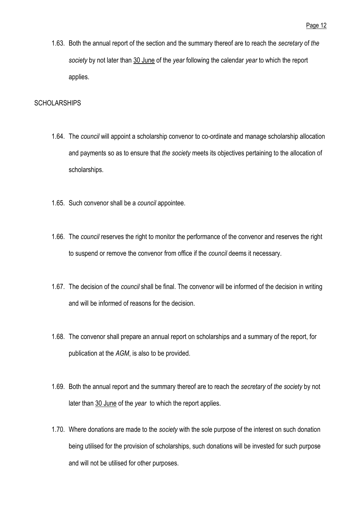1.63. Both the annual report of the section and the summary thereof are to reach the *secretary* of *the society* by not later than 30 June of the *year* following the calendar *year* to which the report applies.

### <span id="page-14-0"></span>**SCHOLARSHIPS**

- 1.64. The *council* will appoint a scholarship convenor to co-ordinate and manage scholarship allocation and payments so as to ensure that *the society* meets its objectives pertaining to the allocation of scholarships.
- 1.65. Such convenor shall be a *council* appointee.
- 1.66. The *council* reserves the right to monitor the performance of the convenor and reserves the right to suspend or remove the convenor from office if the *council* deems it necessary.
- 1.67. The decision of the *council* shall be final. The convenor will be informed of the decision in writing and will be informed of reasons for the decision.
- 1.68. The convenor shall prepare an annual report on scholarships and a summary of the report, for publication at the *AGM*, is also to be provided.
- 1.69. Both the annual report and the summary thereof are to reach the *secretary* of *the society* by not later than 30 June of the *year* to which the report applies.
- 1.70. Where donations are made to the *society* with the sole purpose of the interest on such donation being utilised for the provision of scholarships, such donations will be invested for such purpose and will not be utilised for other purposes.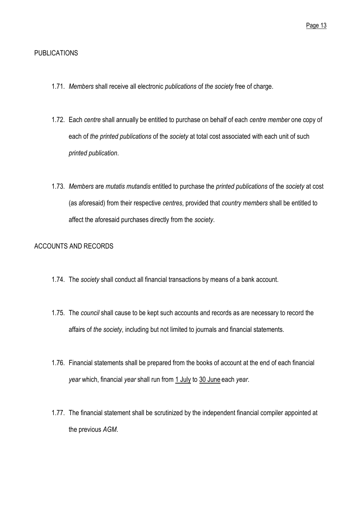## <span id="page-15-0"></span>PUBLICATIONS

- 1.71. *Members* shall receive all electronic *publications* of *the society* free of charge.
- 1.72. Each *centre* shall annually be entitled to purchase on behalf of each *centre member* one copy of each of *the printed publications* of the *society* at total cost associated with each unit of such *printed publication*.
- 1.73. *Members* are *mutatis mutandis* entitled to purchase the *printed publications* of the *society* at cost (as aforesaid) from their respective *centres*, provided that *country members* shall be entitled to affect the aforesaid purchases directly from the *society*.

## <span id="page-15-1"></span>ACCOUNTS AND RECORDS

- 1.74. The *society* shall conduct all financial transactions by means of a bank account.
- 1.75. The *council* shall cause to be kept such accounts and records as are necessary to record the affairs of *the society*, including but not limited to journals and financial statements.
- 1.76. Financial statements shall be prepared from the books of account at the end of each financial *year* which, financial *year* shall run from 1 July to 30 June each *year*.
- 1.77. The financial statement shall be scrutinized by the independent financial compiler appointed at the previous *AGM*.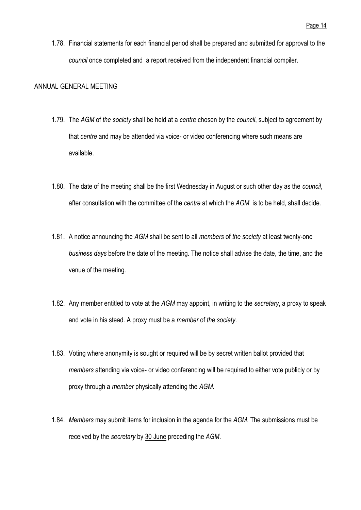1.78. Financial statements for each financial period shall be prepared and submitted for approval to the *council* once completed and a report received from the independent financial compiler.

#### <span id="page-16-0"></span>ANNUAL GENERAL MEETING

- 1.79. The *AGM* of *the society* shall be held at a *centre* chosen by the *council*, subject to agreement by that *centre* and may be attended via voice- or video conferencing where such means are available.
- 1.80. The date of the meeting shall be the first Wednesday in August or such other day as the *council*, after consultation with the committee of the *centre* at which the *AGM* is to be held, shall decide.
- 1.81. A notice announcing the *AGM* shall be sent to all *members* of *the society* at least twenty-one *business days* before the date of the meeting. The notice shall advise the date, the time, and the venue of the meeting.
- 1.82. Any member entitled to vote at the *AGM* may appoint, in writing to the *secretary*, a proxy to speak and vote in his stead. A proxy must be a *member* of *the society*.
- 1.83. Voting where anonymity is sought or required will be by secret written ballot provided that *members* attending via voice- or video conferencing will be required to either vote publicly or by proxy through a *member* physically attending the *AGM*.
- 1.84. *Members* may submit items for inclusion in the agenda for the *AGM*. The submissions must be received by the *secretary* by 30 June preceding the *AGM*.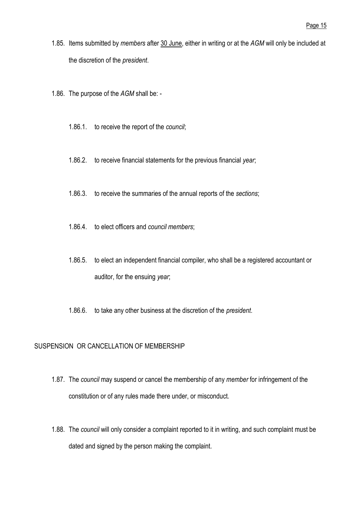- 1.85. Items submitted by *members* after 30 June, either in writing or at the *AGM* will only be included at the discretion of the *president*.
- 1.86. The purpose of the *AGM* shall be:
	- 1.86.1. to receive the report of the *council*;
	- 1.86.2. to receive financial statements for the previous financial *year*;
	- 1.86.3. to receive the summaries of the annual reports of the *sections*;
	- 1.86.4. to elect officers and *council members*;
	- 1.86.5. to elect an independent financial compiler, who shall be a registered accountant or auditor, for the ensuing *year*;
	- 1.86.6. to take any other business at the discretion of the *president*.

#### <span id="page-17-0"></span>SUSPENSION OR CANCELLATION OF MEMBERSHIP

- 1.87. The *council* may suspend or cancel the membership of any *member* for infringement of the constitution or of any rules made there under, or misconduct.
- 1.88. The *council* will only consider a complaint reported to it in writing, and such complaint must be dated and signed by the person making the complaint.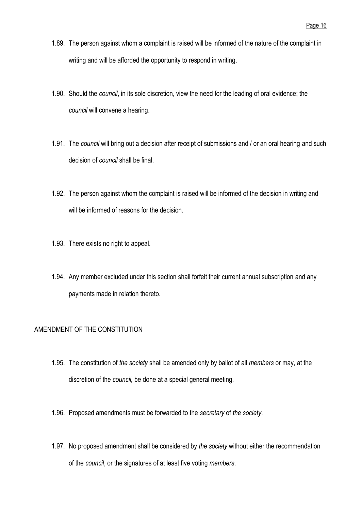- 1.89. The person against whom a complaint is raised will be informed of the nature of the complaint in writing and will be afforded the opportunity to respond in writing.
- 1.90. Should the *council*, in its sole discretion, view the need for the leading of oral evidence; the *council* will convene a hearing.
- 1.91. The *council* will bring out a decision after receipt of submissions and / or an oral hearing and such decision of *council* shall be final.
- 1.92. The person against whom the complaint is raised will be informed of the decision in writing and will be informed of reasons for the decision.
- 1.93. There exists no right to appeal.
- 1.94. Any member excluded under this section shall forfeit their current annual subscription and any payments made in relation thereto.

## <span id="page-18-0"></span>AMENDMENT OF THE CONSTITUTION

- 1.95. The constitution of *the society* shall be amended only by ballot of all *members* or may, at the discretion of the *council,* be done at a special general meeting.
- 1.96. Proposed amendments must be forwarded to the *secretary* of *the society*.
- 1.97. No proposed amendment shall be considered by *the society* without either the recommendation of the *council*, or the signatures of at least five voting *members*.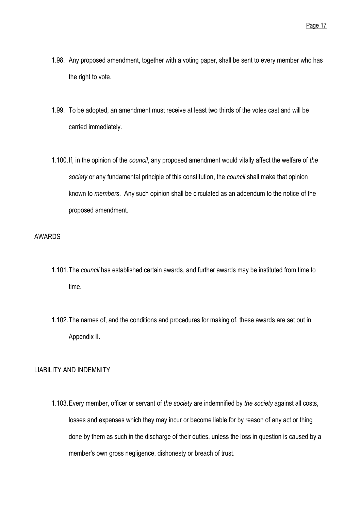- 1.98. Any proposed amendment, together with a voting paper, shall be sent to every member who has the right to vote.
- 1.99. To be adopted, an amendment must receive at least two thirds of the votes cast and will be carried immediately.
- 1.100.If, in the opinion of the *council*, any proposed amendment would vitally affect the welfare of *the society* or any fundamental principle of this constitution, the *council* shall make that opinion known to *members*. Any such opinion shall be circulated as an addendum to the notice of the proposed amendment.

## <span id="page-19-0"></span>AWARDS

- 1.101.The *council* has established certain awards, and further awards may be instituted from time to time.
- 1.102.The names of, and the conditions and procedures for making of, these awards are set out in Appendix II.

## <span id="page-19-1"></span>LIABILITY AND INDEMNITY

1.103.Every member, officer or servant of *the society* are indemnified by *the society* against all costs, losses and expenses which they may incur or become liable for by reason of any act or thing done by them as such in the discharge of their duties, unless the loss in question is caused by a member's own gross negligence, dishonesty or breach of trust.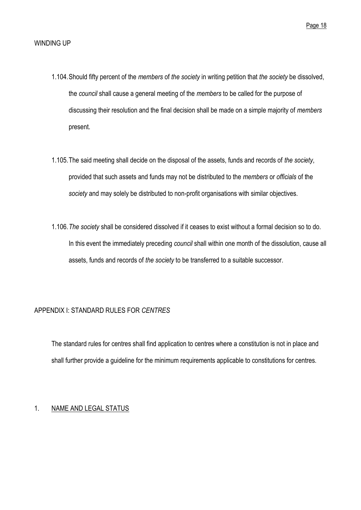- <span id="page-20-0"></span>1.104.Should fifty percent of the *members* of *the society* in writing petition that *the society* be dissolved, the *council* shall cause a general meeting of the *members* to be called for the purpose of discussing their resolution and the final decision shall be made on a simple majority of *members* present.
- 1.105.The said meeting shall decide on the disposal of the assets, funds and records of *the society*, provided that such assets and funds may not be distributed to the *members* or *officials* of the *society* and may solely be distributed to non-profit organisations with similar objectives.
- 1.106.*The society* shall be considered dissolved if it ceases to exist without a formal decision so to do. In this event the immediately preceding *council* shall within one month of the dissolution, cause all assets, funds and records of *the society* to be transferred to a suitable successor.

#### <span id="page-20-1"></span>APPENDIX I: STANDARD RULES FOR *CENTRES*

The standard rules for centres shall find application to centres where a constitution is not in place and shall further provide a guideline for the minimum requirements applicable to constitutions for centres.

## <span id="page-20-2"></span>1. NAME AND LEGAL STATUS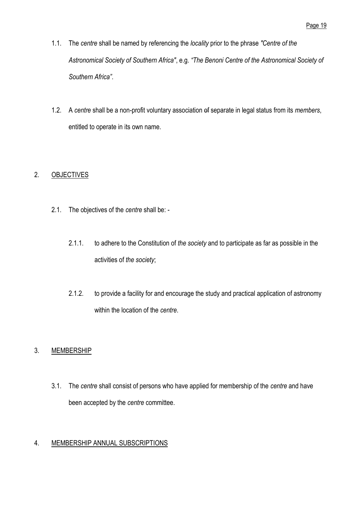- 1.1. The *centre* shall be named by referencing the *locality* prior to the phrase *"Centre of the Astronomical Society of Southern Africa"*, e.g. *"The Benoni Centre of the Astronomical Society of Southern Africa"*.
- 1.2. A *centre* shall be a non-profit voluntary association of separate in legal status from its *members*, entitled to operate in its own name.

## <span id="page-21-0"></span>2. OBJECTIVES

- 2.1. The objectives of the *centre* shall be:
	- 2.1.1. to adhere to the Constitution of *the society* and to participate as far as possible in the activities of *the society*;
	- 2.1.2. to provide a facility for and encourage the study and practical application of astronomy within the location of the *centre*.

## <span id="page-21-1"></span>3. MEMBERSHIP

3.1. The *centre* shall consist of persons who have applied for membership of the *centre* and have been accepted by the *centre* committee.

## <span id="page-21-2"></span>4. MEMBERSHIP ANNUAL SUBSCRIPTIONS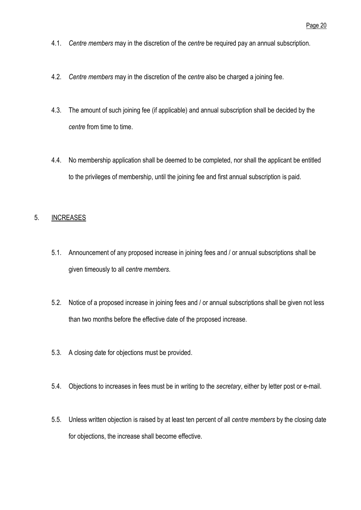- 4.1. *Centre members* may in the discretion of the *centre* be required pay an annual subscription.
- 4.2. *Centre members* may in the discretion of the *centre* also be charged a joining fee.
- 4.3. The amount of such joining fee (if applicable) and annual subscription shall be decided by the *centre* from time to time.
- 4.4. No membership application shall be deemed to be completed, nor shall the applicant be entitled to the privileges of membership, until the joining fee and first annual subscription is paid.

## <span id="page-22-0"></span>5. INCREASES

- 5.1. Announcement of any proposed increase in joining fees and / or annual subscriptions shall be given timeously to all *centre members*.
- 5.2. Notice of a proposed increase in joining fees and / or annual subscriptions shall be given not less than two months before the effective date of the proposed increase.
- 5.3. A closing date for objections must be provided.
- 5.4. Objections to increases in fees must be in writing to the *secretary*, either by letter post or e-mail.
- 5.5. Unless written objection is raised by at least ten percent of all *centre members* by the closing date for objections, the increase shall become effective.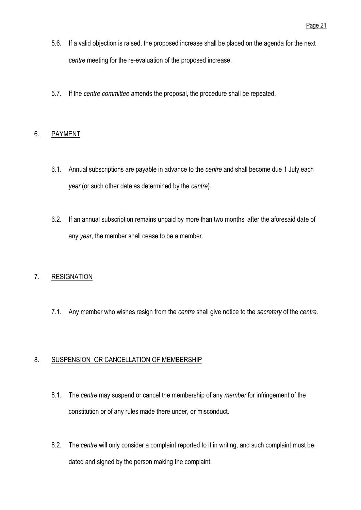- 5.6. If a valid objection is raised, the proposed increase shall be placed on the agenda for the next *centre* meeting for the re-evaluation of the proposed increase.
- 5.7. If the *centre committee* amends the proposal, the procedure shall be repeated.

## <span id="page-23-0"></span>6. PAYMENT

- 6.1. Annual subscriptions are payable in advance to the *centre* and shall become due 1 July each *year* (or such other date as determined by the *centre*).
- 6.2. If an annual subscription remains unpaid by more than two months' after the aforesaid date of any *year*, the member shall cease to be a member.

## <span id="page-23-1"></span>7. RESIGNATION

7.1. Any member who wishes resign from the *centre* shall give notice to the *secretary* of the *centre*.

## <span id="page-23-2"></span>8. SUSPENSION OR CANCELLATION OF MEMBERSHIP

- 8.1. The *centre* may suspend or cancel the membership of any *member* for infringement of the constitution or of any rules made there under, or misconduct.
- 8.2. The *centre* will only consider a complaint reported to it in writing, and such complaint must be dated and signed by the person making the complaint.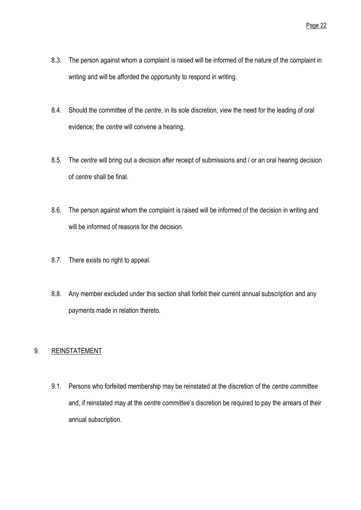- 8.3. The person against whom a complaint is raised will be informed of the nature of the complaint in writing and will be afforded the opportunity to respond in writing.
- 8.4. Should the committee of the *centre*, in its sole discretion, view the need for the leading of oral evidence; the *centre* will convene a hearing.
- 8.5. The *centre* will bring out a decision after receipt of submissions and / or an oral hearing decision of *centre* shall be final.
- 8.6. The person against whom the complaint is raised will be informed of the decision in writing and will be informed of reasons for the decision.
- 8.7. There exists no right to appeal.
- 8.8. Any member excluded under this section shall forfeit their current annual subscription and any payments made in relation thereto.

## <span id="page-24-0"></span>9. REINSTATEMENT

9.1. Persons who forfeited membership may be reinstated at the discretion of the *centre committee* and, if reinstated may at the *centre committee*'s discretion be required to pay the arrears of their annual subscription.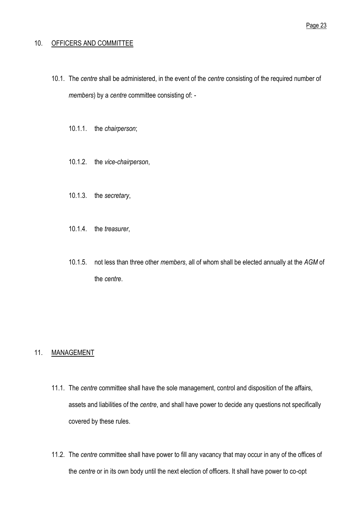#### <span id="page-25-0"></span>10. OFFICERS AND COMMITTEE

- 10.1. The *centre* shall be administered, in the event of the *centre* consisting of the required number of *members*) by a *centre* committee consisting of: -
	- 10.1.1. the *chairperson*;
	- 10.1.2. the *vice*-*chairperson*,
	- 10.1.3. the *secretary*,
	- 10.1.4. the *treasurer*,
	- 10.1.5. not less than three other *members*, all of whom shall be elected annually at the *AGM* of the *centre*.

## <span id="page-25-1"></span>11. MANAGEMENT

- 11.1. The *centre* committee shall have the sole management, control and disposition of the affairs, assets and liabilities of the *centre*, and shall have power to decide any questions not specifically covered by these rules.
- 11.2. The *centre* committee shall have power to fill any vacancy that may occur in any of the offices of the *centre* or in its own body until the next election of officers. It shall have power to co-opt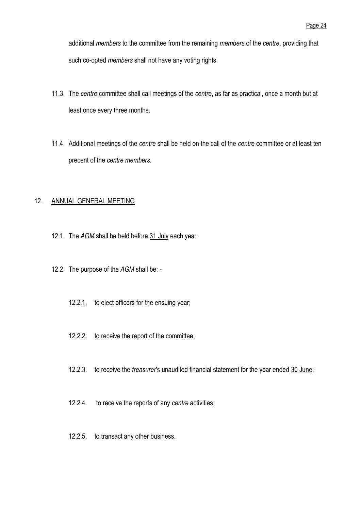additional *members* to the committee from the remaining *members* of the *centre*, providing that such co-opted *members* shall not have any voting rights.

- 11.3. The *centre* committee shall call meetings of the *centre*, as far as practical, once a month but at least once every three months.
- 11.4. Additional meetings of the *centre* shall be held on the call of the *centre* committee or at least ten precent of the *centre members*.

#### <span id="page-26-0"></span>12. ANNUAL GENERAL MEETING

- 12.1. The *AGM* shall be held before 31 July each year.
- 12.2. The purpose of the *AGM* shall be:
	- 12.2.1. to elect officers for the ensuing year;
	- 12.2.2. to receive the report of the committee;
	- 12.2.3. to receive the *treasurer*'s unaudited financial statement for the year ended 30 June;
	- 12.2.4. to receive the reports of any *centre* activities;
	- 12.2.5. to transact any other business.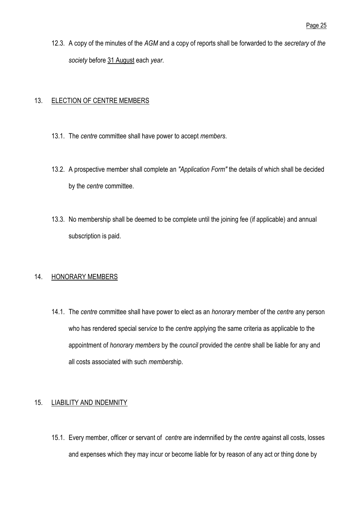12.3. A copy of the minutes of the *AGM* and a copy of reports shall be forwarded to the *secretary* of *the society* before 31 August each *year*.

## <span id="page-27-0"></span>13. ELECTION OF CENTRE MEMBERS

- 13.1. The *centre* committee shall have power to accept *members*.
- 13.2. A prospective member shall complete an *"Application Form"* the details of which shall be decided by the *centre* committee.
- 13.3. No membership shall be deemed to be complete until the joining fee (if applicable) and annual subscription is paid.

## <span id="page-27-1"></span>14. HONORARY MEMBERS

14.1. The *centre* committee shall have power to elect as an *honorary* member of the *centre* any person who has rendered special ser*vice* to the *centre* applying the same criteria as applicable to the appointment of *honorary members* by the *council* provided the *centre* shall be liable for any and all costs associated with such *members*hip.

## <span id="page-27-2"></span>15. LIABILITY AND INDEMNITY

15.1. Every member, officer or servant of *centre* are indemnified by the *centre* against all costs, losses and expenses which they may incur or become liable for by reason of any act or thing done by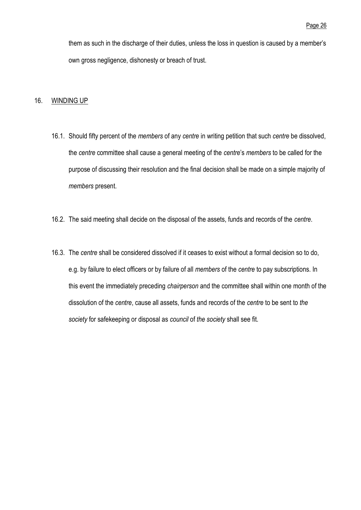them as such in the discharge of their duties, unless the loss in question is caused by a member's own gross negligence, dishonesty or breach of trust.

#### <span id="page-28-0"></span>16. WINDING UP

- 16.1. Should fifty percent of the *members* of any *centre* in writing petition that such *centre* be dissolved, the *centre* committee shall cause a general meeting of the *centre*'s *members* to be called for the purpose of discussing their resolution and the final decision shall be made on a simple majority of *members* present.
- 16.2. The said meeting shall decide on the disposal of the assets, funds and records of the *centre*.
- 16.3. The *centre* shall be considered dissolved if it ceases to exist without a formal decision so to do, e.g. by failure to elect officers or by failure of all *members* of the *centre* to pay subscriptions. In this event the immediately preceding *chairperson* and the committee shall within one month of the dissolution of the *centre*, cause all assets, funds and records of the *centre* to be sent to *the society* for safekeeping or disposal as *council* of *the society* shall see fit.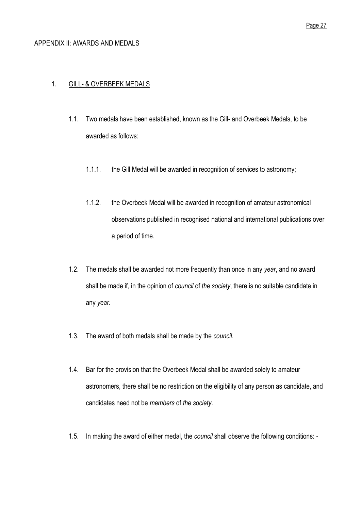#### <span id="page-29-0"></span>APPENDIX II: AWARDS AND MEDALS

#### <span id="page-29-1"></span>1. GILL- & OVERBEEK MEDALS

- 1.1. Two medals have been established, known as the Gill- and Overbeek Medals, to be awarded as follows:
	- 1.1.1. the Gill Medal will be awarded in recognition of services to astronomy;
	- 1.1.2. the Overbeek Medal will be awarded in recognition of amateur astronomical observations published in recognised national and international publications over a period of time.
- 1.2. The medals shall be awarded not more frequently than once in any *year*, and no award shall be made if, in the opinion of *council* of *the society*, there is no suitable candidate in any *year*.
- 1.3. The award of both medals shall be made by the *council*.
- 1.4. Bar for the provision that the Overbeek Medal shall be awarded solely to amateur astronomers, there shall be no restriction on the eligibility of any person as candidate, and candidates need not be *members* of *the society*.
- 1.5. In making the award of either medal, the *council* shall observe the following conditions: -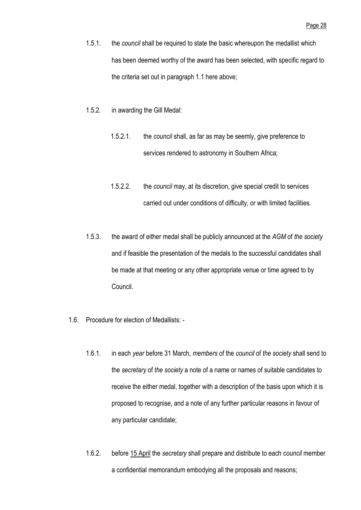- 1.5.1. the *council* shall be required to state the basic whereupon the medallist which has been deemed worthy of the award has been selected, with specific regard to the criteria set out in paragraph 1.1 here above;
- 1.5.2. in awarding the Gill Medal:
	- 1.5.2.1. the *council* shall, as far as may be seemly, give preference to services rendered to astronomy in Southern Africa;
	- 1.5.2.2. the *council* may, at its discretion, give special credit to services carried out under conditions of difficulty, or with limited facilities.
- 1.5.3. the award of either medal shall be publicly announced at the *AGM* of *the society* and if feasible the presentation of the medals to the successful candidates shall be made at that meeting or any other appropriate venue or time agreed to by Council.
- 1.6. Procedure for election of Medallists:
	- 1.6.1. in each *year* before 31 March, *members* of the *council* of *the society* shall send to the *secretary* of *the society* a note of a name or names of suitable candidates to receive the either medal, together with a description of the basis upon which it is proposed to recognise, and a note of any further particular reasons in favour of any particular candidate;
	- 1.6.2. before 15 April the *secretary* shall prepare and distribute to each *council* member a confidential memorandum embodying all the proposals and reasons;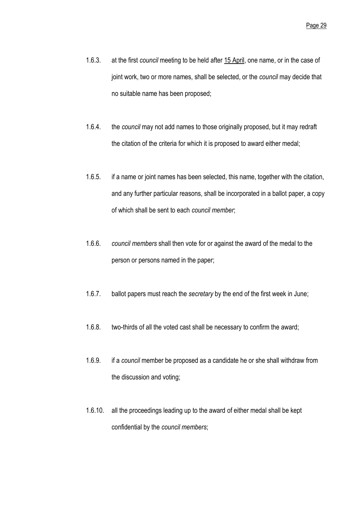- 1.6.3. at the first *council* meeting to be held after 15 April, one name, or in the case of joint work, two or more names, shall be selected, or the *council* may decide that no suitable name has been proposed;
- 1.6.4. the *council* may not add names to those originally proposed, but it may redraft the citation of the criteria for which it is proposed to award either medal;
- 1.6.5. if a name or joint names has been selected, this name, together with the citation, and any further particular reasons, shall be incorporated in a ballot paper, a copy of which shall be sent to each *council member*;
- 1.6.6. *council members* shall then vote for or against the award of the medal to the person or persons named in the paper;
- 1.6.7. ballot papers must reach the *secretary* by the end of the first week in June;
- 1.6.8. two-thirds of all the voted cast shall be necessary to confirm the award;
- 1.6.9. if a *council* member be proposed as a candidate he or she shall withdraw from the discussion and voting;
- 1.6.10. all the proceedings leading up to the award of either medal shall be kept confidential by the *council members*;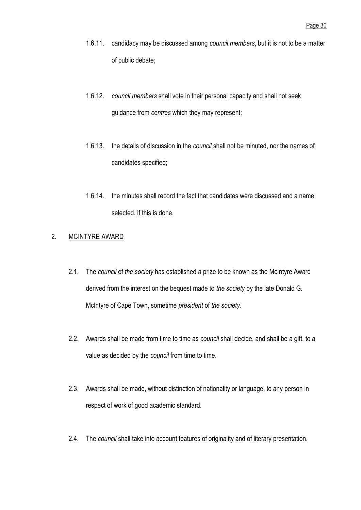- 1.6.11. candidacy may be discussed among *council members*, but it is not to be a matter of public debate;
- 1.6.12. *council members* shall vote in their personal capacity and shall not seek guidance from *centres* which they may represent;
- 1.6.13. the details of discussion in the *council* shall not be minuted, nor the names of candidates specified;
- 1.6.14. the minutes shall record the fact that candidates were discussed and a name selected, if this is done.

## <span id="page-32-0"></span>2. MCINTYRE AWARD

- 2.1. The *council* of *the society* has established a prize to be known as the McIntyre Award derived from the interest on the bequest made to *the society* by the late Donald G. McIntyre of Cape Town, sometime *president* of *the society*.
- 2.2. Awards shall be made from time to time as *council* shall decide, and shall be a gift, to a value as decided by the *council* from time to time.
- 2.3. Awards shall be made, without distinction of nationality or language, to any person in respect of work of good academic standard.
- 2.4. The *council* shall take into account features of originality and of literary presentation.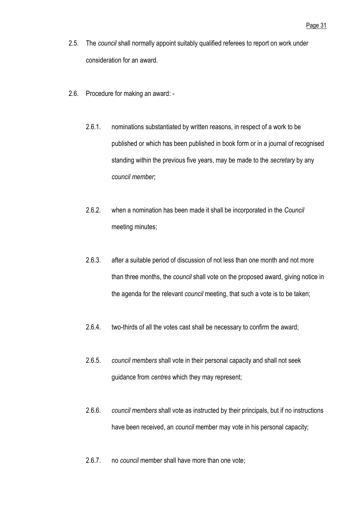- 2.5. The *council* shall normally appoint suitably qualified referees to report on work under consideration for an award.
- 2.6. Procedure for making an award:
	- 2.6.1. nominations substantiated by written reasons, in respect of a work to be published or which has been published in book form or in a journal of recognised standing within the previous five years, may be made to the *secretary* by any *council member*;
	- 2.6.2. when a nomination has been made it shall be incorporated in the *Council* meeting minutes;
	- 2.6.3. after a suitable period of discussion of not less than one month and not more than three months, the *council* shall vote on the proposed award, giving notice in the agenda for the relevant *council* meeting, that such a vote is to be taken;
	- 2.6.4. two-thirds of all the votes cast shall be necessary to confirm the award;
	- 2.6.5. *council members* shall vote in their personal capacity and shall not seek guidance from *centres* which they may represent;
	- 2.6.6. *council members* shall vote as instructed by their principals, but if no instructions have been received, an *council* member may vote in his personal capacity;
	- 2.6.7. no *council* member shall have more than one vote;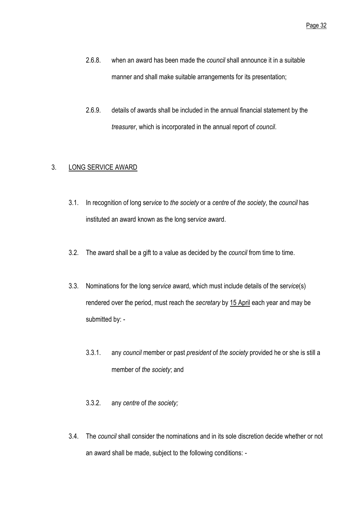- 2.6.8. when an award has been made the *council* shall announce it in a suitable manner and shall make suitable arrangements for its presentation;
- 2.6.9. details of awards shall be included in the annual financial statement by the *treasurer*, which is incorporated in the annual report of *council*.

## <span id="page-34-0"></span>3. LONG SERVICE AWARD

- 3.1. In recognition of long ser*vice* to *the society* or a *centre* of *the society*, the *council* has instituted an award known as the long ser*vice* award.
- 3.2. The award shall be a gift to a value as decided by the *council* from time to time.
- 3.3. Nominations for the long ser*vice* award, which must include details of the ser*vice*(s) rendered over the period, must reach the *secretary* by 15 April each year and may be submitted by: -
	- 3.3.1. any *council* member or past *president* of *the society* provided he or she is still a member of *the society*; and
	- 3.3.2. any *centre* of *the society;*
- 3.4. The *council* shall consider the nominations and in its sole discretion decide whether or not an award shall be made, subject to the following conditions: -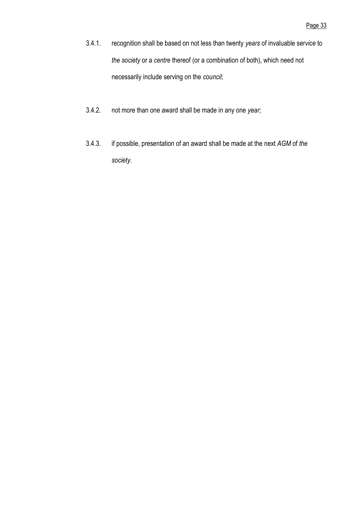- 3.4.1. recognition shall be based on not less than twenty *years* of invaluable ser*vice* to *the society* or a *centre* thereof (or a combination of both), which need not necessarily include serving on the *council*;
- 3.4.2. not more than one award shall be made in any one *year*;
- 3.4.3. if possible, presentation of an award shall be made at the next *AGM* of *the society*.